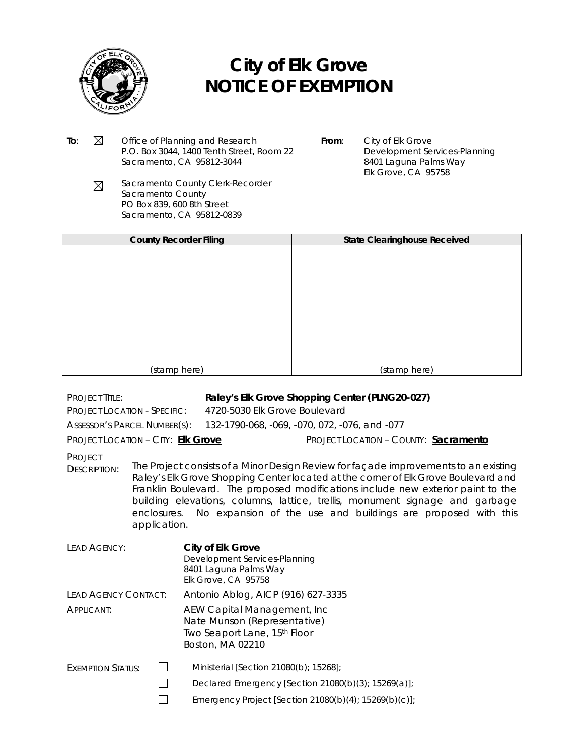

## **City of Elk Grove NOTICE OF EXEMPTION**

- To:  $\boxtimes$  Office of Planning and Research P.O. Box 3044, 1400 Tenth Street, Room 22 Sacramento, CA 95812-3044
- **From**: City of Elk Grove Development Services-Planning 8401 Laguna Palms Way Elk Grove, CA 95758
- Sacramento County Clerk-Recorder  $\boxtimes$ Sacramento County PO Box 839, 600 8th Street Sacramento, CA 95812-0839

| <b>County Recorder Filing</b> | <b>State Clearinghouse Received</b> |  |
|-------------------------------|-------------------------------------|--|
|                               |                                     |  |
|                               |                                     |  |
|                               |                                     |  |
|                               |                                     |  |
|                               |                                     |  |
|                               |                                     |  |
|                               |                                     |  |
|                               |                                     |  |
|                               |                                     |  |
|                               |                                     |  |
| (stamp here)                  | (stamp here)                        |  |

## PROJECT TITLE: **Raley's Elk Grove Shopping Center (PLNG20-027)**

PROJECT LOCATION - SPECIFIC: 4720-5030 Elk Grove Boulevard

ASSESSOR'S PARCEL NUMBER(S): 132-1790-068, -069, -070, 072, -076, and -077

PROJECT LOCATION – CITY: **Elk Grove** PROJECT LOCATION – COUNTY: **Sacramento**

**PROJECT** 

DESCRIPTION: The Project consists of a Minor Design Review for façade improvements to an existing Raley's Elk Grove Shopping Center located at the corner of Elk Grove Boulevard and Franklin Boulevard. The proposed modifications include new exterior paint to the building elevations, columns, lattice, trellis, monument signage and garbage enclosures. No expansion of the use and buildings are proposed with this application.

| LEAD AGENCY:             |  | <b>City of Elk Grove</b><br>Development Services-Planning<br>8401 Laguna Palms Way<br>Elk Grove, CA 95758        |
|--------------------------|--|------------------------------------------------------------------------------------------------------------------|
| LEAD AGENCY CONTACT:     |  | Antonio Ablog, AICP (916) 627-3335                                                                               |
| APPLICANT:               |  | AEW Capital Management, Inc.<br>Nate Munson (Representative)<br>Two Seaport Lane, 15th Floor<br>Boston, MA 02210 |
| <b>EXEMPTION STATUS:</b> |  | Ministerial [Section 21080(b); 15268];                                                                           |
|                          |  | Declared Emergency [Section 21080(b)(3); 15269(a)];                                                              |
|                          |  | Emergency Project [Section 21080(b)(4); 15269(b)(c)];                                                            |